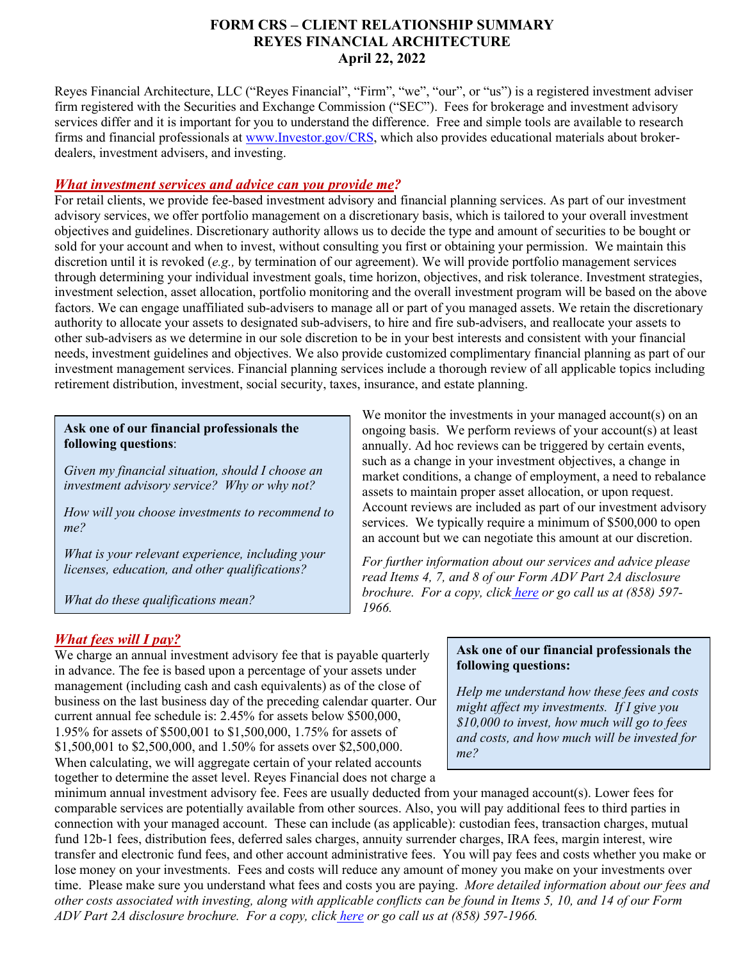## **FORM CRS – CLIENT RELATIONSHIP SUMMARY REYES FINANCIAL ARCHITECTURE April 22, 2022**

Reyes Financial Architecture, LLC ("Reyes Financial", "Firm", "we", "our", or "us") is a registered investment adviser firm registered with the Securities and Exchange Commission ("SEC"). Fees for brokerage and investment advisory services differ and it is important for you to understand the difference. Free and simple tools are available to research firms and financial professionals at [www.Investor.gov/CRS,](http://www.investor.gov/CRS) which also provides educational materials about brokerdealers, investment advisers, and investing.

### *What investment services and advice can you provide me?*

For retail clients, we provide fee-based investment advisory and financial planning services. As part of our investment advisory services, we offer portfolio management on a discretionary basis, which is tailored to your overall investment objectives and guidelines. Discretionary authority allows us to decide the type and amount of securities to be bought or sold for your account and when to invest, without consulting you first or obtaining your permission. We maintain this discretion until it is revoked (*e.g.,* by termination of our agreement). We will provide portfolio management services through determining your individual investment goals, time horizon, objectives, and risk tolerance. Investment strategies, investment selection, asset allocation, portfolio monitoring and the overall investment program will be based on the above factors. We can engage unaffiliated sub-advisers to manage all or part of you managed assets. We retain the discretionary authority to allocate your assets to designated sub-advisers, to hire and fire sub-advisers, and reallocate your assets to other sub-advisers as we determine in our sole discretion to be in your best interests and consistent with your financial needs, investment guidelines and objectives. We also provide customized complimentary financial planning as part of our investment management services. Financial planning services include a thorough review of all applicable topics including retirement distribution, investment, social security, taxes, insurance, and estate planning.

#### **Ask one of our financial professionals the following questions**:

*Given my financial situation, should I choose an investment advisory service? Why or why not?*

*How will you choose investments to recommend to me?*

*What is your relevant experience, including your licenses, education, and other qualifications?*

*What do these qualifications mean?*

We monitor the investments in your managed account(s) on an ongoing basis. We perform reviews of your account(s) at least annually. Ad hoc reviews can be triggered by certain events, such as a change in your investment objectives, a change in market conditions, a change of employment, a need to rebalance assets to maintain proper asset allocation, or upon request. Account reviews are included as part of our investment advisory services. We typically require a minimum of \$500,000 to open an account but we can negotiate this amount at our discretion.

*For further information about our services and advice please read Items 4, 7, and 8 of our Form ADV Part 2A disclosure brochure. For a copy, click [here](https://adviserinfo.sec.gov/firm/summary/153194) or go call us at (858) 597- 1966.*

# *What fees will I pay?*

We charge an annual investment advisory fee that is payable quarterly in advance. The fee is based upon a percentage of your assets under management (including cash and cash equivalents) as of the close of business on the last business day of the preceding calendar quarter. Our current annual fee schedule is: 2.45% for assets below \$500,000, 1.95% for assets of \$500,001 to \$1,500,000, 1.75% for assets of \$1,500,001 to \$2,500,000, and 1.50% for assets over \$2,500,000. When calculating, we will aggregate certain of your related accounts together to determine the asset level. Reyes Financial does not charge a

#### **Ask one of our financial professionals the following questions:**

*Help me understand how these fees and costs might affect my investments. If I give you \$10,000 to invest, how much will go to fees and costs, and how much will be invested for me?*

minimum annual investment advisory fee. Fees are usually deducted from your managed account(s). Lower fees for comparable services are potentially available from other sources. Also, you will pay additional fees to third parties in connection with your managed account. These can include (as applicable): custodian fees, transaction charges, mutual fund 12b-1 fees, distribution fees, deferred sales charges, annuity surrender charges, IRA fees, margin interest, wire transfer and electronic fund fees, and other account administrative fees. You will pay fees and costs whether you make or lose money on your investments. Fees and costs will reduce any amount of money you make on your investments over time. Please make sure you understand what fees and costs you are paying. *More detailed information about our fees and other costs associated with investing, along with applicable conflicts can be found in Items 5, 10, and 14 of our Form ADV Part 2A disclosure brochure. For a copy, click [here](https://adviserinfo.sec.gov/firm/summary/153194) or go call us at (858) 597-1966.*